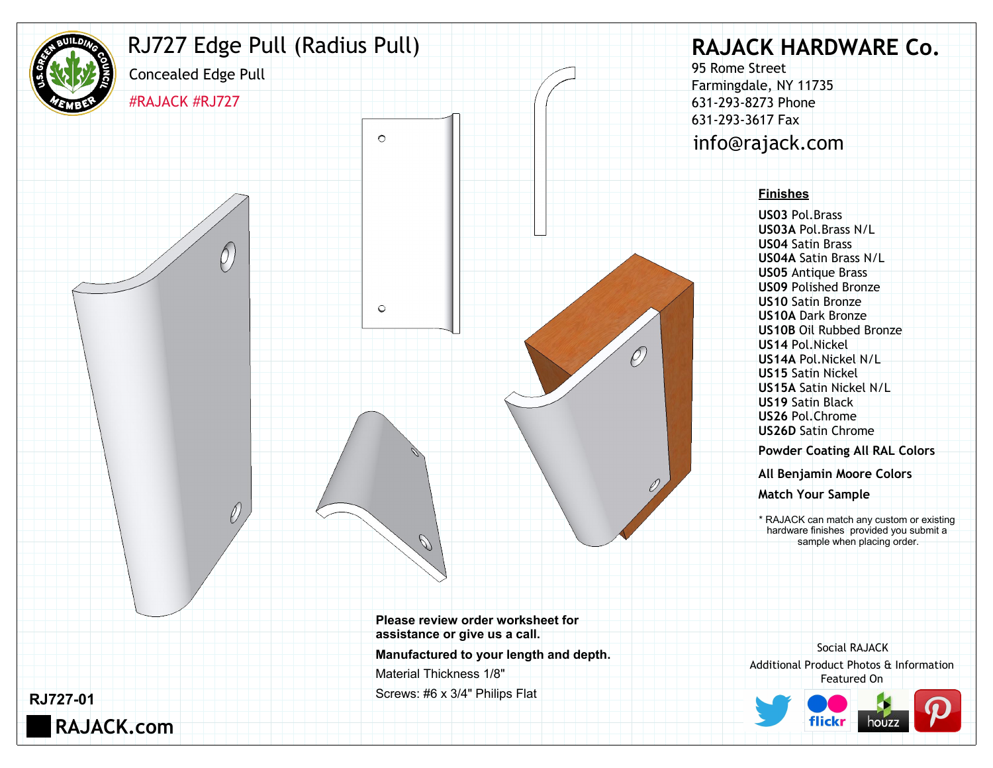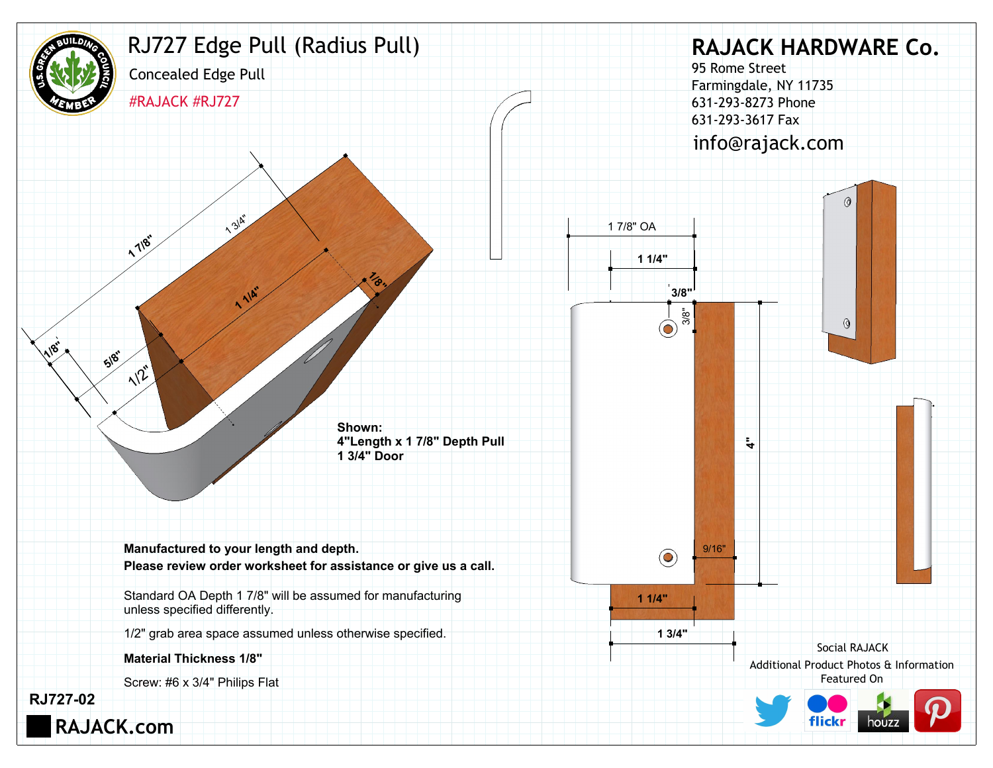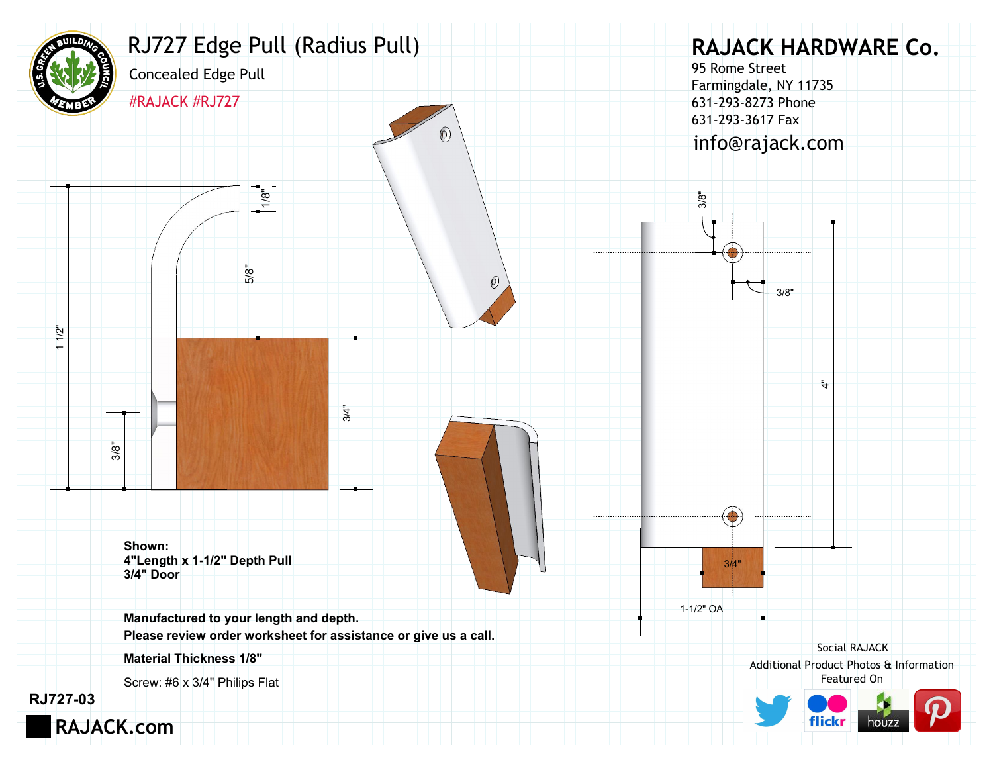